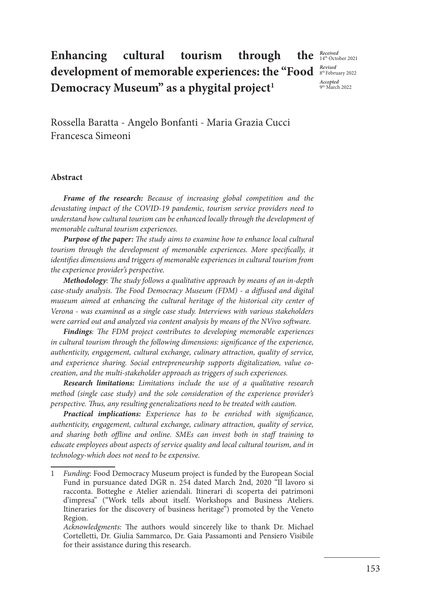## **Enhancing cultural tourism through development of memorable experiences: the "Food**  Democracy Museum" as a phygital project<sup>1</sup>

*Received* 14th October 2021 *Revised* 8th February 2022 *Accepted*  9th March 2022

Rossella Baratta - Angelo Bonfanti - Maria Grazia Cucci Francesca Simeoni

#### **Abstract**

*Frame of the research: Because of increasing global competition and the devastating impact of the COVID-19 pandemic, tourism service providers need to understand how cultural tourism can be enhanced locally through the development of memorable cultural tourism experiences.*

*Purpose of the paper: The study aims to examine how to enhance local cultural tourism through the development of memorable experiences. More specifically, it identifies dimensions and triggers of memorable experiences in cultural tourism from the experience provider's perspective.*

*Methodology: The study follows a qualitative approach by means of an in-depth case-study analysis. The Food Democracy Museum (FDM) - a diffused and digital museum aimed at enhancing the cultural heritage of the historical city center of Verona - was examined as a single case study. Interviews with various stakeholders were carried out and analyzed via content analysis by means of the NVivo software.*

*Findings: The FDM project contributes to developing memorable experiences in cultural tourism through the following dimensions: significance of the experience, authenticity, engagement, cultural exchange, culinary attraction, quality of service, and experience sharing. Social entrepreneurship supports digitalization, value cocreation, and the multi-stakeholder approach as triggers of such experiences.* 

*Research limitations: Limitations include the use of a qualitative research method (single case study) and the sole consideration of the experience provider's perspective. Thus, any resulting generalizations need to be treated with caution.*

*Practical implications: Experience has to be enriched with significance, authenticity, engagement, cultural exchange, culinary attraction, quality of service, and sharing both offline and online. SMEs can invest both in staff training to educate employees about aspects of service quality and local cultural tourism, and in technology-which does not need to be expensive.* 

<sup>1</sup> *Funding*: Food Democracy Museum project is funded by the European Social Fund in pursuance dated DGR n. 254 dated March 2nd, 2020 "Il lavoro si racconta. Botteghe e Atelier aziendali. Itinerari di scoperta dei patrimoni d'impresa" ("Work tells about itself. Workshops and Business Ateliers. Itineraries for the discovery of business heritage") promoted by the Veneto Region.

*Acknowledgments:* The authors would sincerely like to thank Dr. Michael Cortelletti, Dr. Giulia Sammarco, Dr. Gaia Passamonti and Pensiero Visibile for their assistance during this research.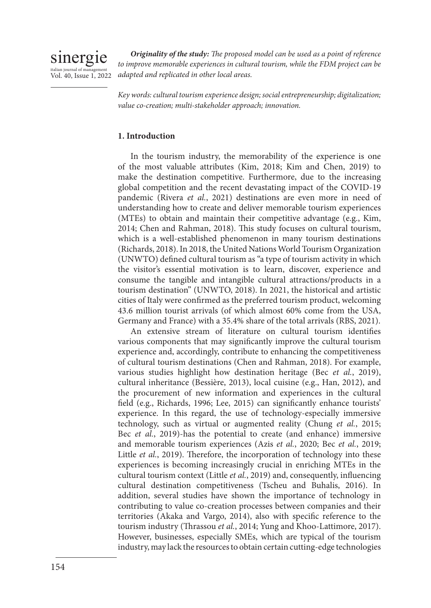

*Originality of the study: The proposed model can be used as a point of reference*  to improve memorable experiences in cultural tourism, while the FDM project can be *adapted and replicated in other local areas.*

*Key words: cultural tourism experience design; social entrepreneurship; digitalization; value co-creation; multi-stakeholder approach; innovation.* 

### **1. Introduction**

In the tourism industry, the memorability of the experience is one of the most valuable attributes (Kim, 2018; Kim and Chen, 2019) to make the destination competitive. Furthermore, due to the increasing global competition and the recent devastating impact of the COVID-19 pandemic (Rivera *et al.*, 2021) destinations are even more in need of understanding how to create and deliver memorable tourism experiences (MTEs) to obtain and maintain their competitive advantage (e.g., Kim, 2014; Chen and Rahman, 2018). This study focuses on cultural tourism, which is a well-established phenomenon in many tourism destinations (Richards, 2018). In 2018, the United Nations World Tourism Organization (UNWTO) defined cultural tourism as "a type of tourism activity in which the visitor's essential motivation is to learn, discover, experience and consume the tangible and intangible cultural attractions/products in a tourism destination" (UNWTO, 2018). In 2021, the historical and artistic cities of Italy were confirmed as the preferred tourism product, welcoming 43.6 million tourist arrivals (of which almost 60% come from the USA, Germany and France) with a 35.4% share of the total arrivals (RBS, 2021).

An extensive stream of literature on cultural tourism identifies various components that may significantly improve the cultural tourism experience and, accordingly, contribute to enhancing the competitiveness of cultural tourism destinations (Chen and Rahman, 2018). For example, various studies highlight how destination heritage (Bec *et al.*, 2019), cultural inheritance (Bessière, 2013), local cuisine (e.g., Han, 2012), and the procurement of new information and experiences in the cultural field (e.g., Richards, 1996; Lee, 2015) can significantly enhance tourists' experience. In this regard, the use of technology-especially immersive technology, such as virtual or augmented reality (Chung *et al.*, 2015; Bec *et al.*, 2019)-has the potential to create (and enhance) immersive and memorable tourism experiences (Azis *et al.*, 2020; Bec *et al.*, 2019; Little *et al.*, 2019). Therefore, the incorporation of technology into these experiences is becoming increasingly crucial in enriching MTEs in the cultural tourism context (Little *et al.*, 2019) and, consequently, influencing cultural destination competitiveness (Tscheu and Buhalis, 2016). In addition, several studies have shown the importance of technology in contributing to value co-creation processes between companies and their territories (Akaka and Vargo, 2014), also with specific reference to the tourism industry (Thrassou *et al.*, 2014; Yung and Khoo-Lattimore, 2017). However, businesses, especially SMEs, which are typical of the tourism industry, may lack the resources to obtain certain cutting-edge technologies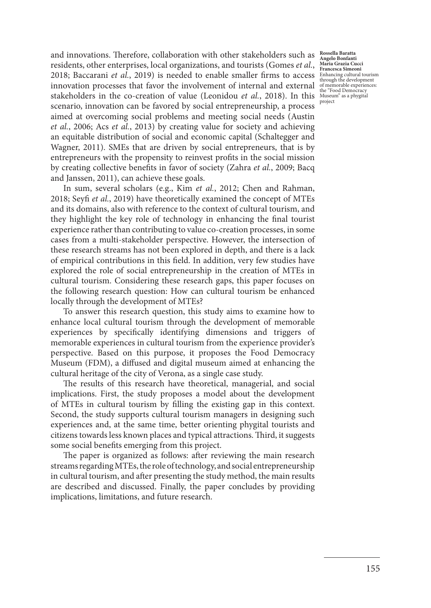2018; Baccarani *et al.*, 2019) is needed to enable smaller firms to access  $\frac{\text{Eh} \text{F}}{\text{Bh} \text{F}}$  and  $\frac{\text{Eh}}{\text{F}}$  and  $\frac{\text{Eh}}{\text{F}}$ stakeholders in the co-creation of value (Leonidou *et al.*, 2018). In this Museum" as a phygital and innovations. Therefore, collaboration with other stakeholders such as residents, other enterprises, local organizations, and tourists (Gomes *et al.*, innovation processes that favor the involvement of internal and external scenario, innovation can be favored by social entrepreneurship, a process aimed at overcoming social problems and meeting social needs (Austin *et al.*, 2006; Acs *et al.*, 2013) by creating value for society and achieving an equitable distribution of social and economic capital (Schaltegger and Wagner, 2011). SMEs that are driven by social entrepreneurs, that is by entrepreneurs with the propensity to reinvest profits in the social mission by creating collective benefits in favor of society (Zahra *et al.*, 2009; Bacq and Janssen, 2011), can achieve these goals.

In sum, several scholars (e.g., Kim *et al.*, 2012; Chen and Rahman, 2018; Seyfi *et al.*, 2019) have theoretically examined the concept of MTEs and its domains, also with reference to the context of cultural tourism, and they highlight the key role of technology in enhancing the final tourist experience rather than contributing to value co-creation processes, in some cases from a multi-stakeholder perspective. However, the intersection of these research streams has not been explored in depth, and there is a lack of empirical contributions in this field. In addition, very few studies have explored the role of social entrepreneurship in the creation of MTEs in cultural tourism. Considering these research gaps, this paper focuses on the following research question: How can cultural tourism be enhanced locally through the development of MTEs?

To answer this research question, this study aims to examine how to enhance local cultural tourism through the development of memorable experiences by specifically identifying dimensions and triggers of memorable experiences in cultural tourism from the experience provider's perspective. Based on this purpose, it proposes the Food Democracy Museum (FDM), a diffused and digital museum aimed at enhancing the cultural heritage of the city of Verona, as a single case study.

The results of this research have theoretical, managerial, and social implications. First, the study proposes a model about the development of MTEs in cultural tourism by filling the existing gap in this context. Second, the study supports cultural tourism managers in designing such experiences and, at the same time, better orienting phygital tourists and citizens towards less known places and typical attractions. Third, it suggests some social benefits emerging from this project.

The paper is organized as follows: after reviewing the main research streams regarding MTEs, the role of technology, and social entrepreneurship in cultural tourism, and after presenting the study method, the main results are described and discussed. Finally, the paper concludes by providing implications, limitations, and future research.

**Rossella Baratta Angelo Bonfanti Maria Grazia Cucci Francesca Simeoni** through the development of memorable experiences: the "Food Democracy project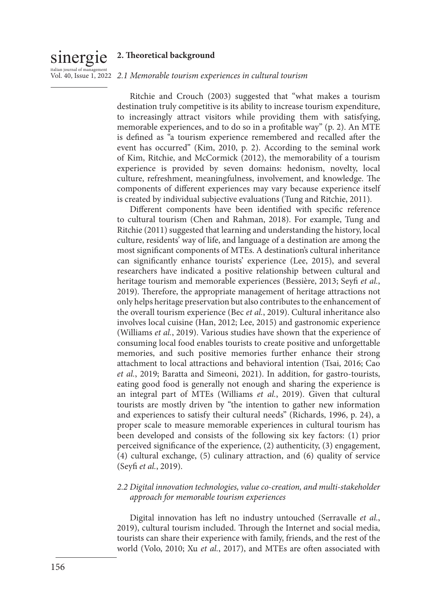## sinergie **2. Theoretical background**

## <sub>italian journal of management</sub><br>Vol. 40, Issue 1, 2022 *2.1 Memorable tourism experiences in cultural tourism*

Ritchie and Crouch (2003) suggested that "what makes a tourism destination truly competitive is its ability to increase tourism expenditure, to increasingly attract visitors while providing them with satisfying, memorable experiences, and to do so in a profitable way" (p. 2). An MTE is defined as "a tourism experience remembered and recalled after the event has occurred" (Kim, 2010, p. 2). According to the seminal work of Kim, Ritchie, and McCormick (2012), the memorability of a tourism experience is provided by seven domains: hedonism, novelty, local culture, refreshment, meaningfulness, involvement, and knowledge. The components of different experiences may vary because experience itself is created by individual subjective evaluations (Tung and Ritchie, 2011).

Different components have been identified with specific reference to cultural tourism (Chen and Rahman, 2018). For example, Tung and Ritchie (2011) suggested that learning and understanding the history, local culture, residents' way of life, and language of a destination are among the most significant components of MTEs. A destination's cultural inheritance can significantly enhance tourists' experience (Lee, 2015), and several researchers have indicated a positive relationship between cultural and heritage tourism and memorable experiences (Bessière, 2013; Seyfi *et al.*, 2019). Therefore, the appropriate management of heritage attractions not only helps heritage preservation but also contributes to the enhancement of the overall tourism experience (Bec *et al.*, 2019). Cultural inheritance also involves local cuisine (Han, 2012; Lee, 2015) and gastronomic experience (Williams *et al.*, 2019). Various studies have shown that the experience of consuming local food enables tourists to create positive and unforgettable memories, and such positive memories further enhance their strong attachment to local attractions and behavioral intention (Tsai, 2016; Cao *et al.*, 2019; Baratta and Simeoni, 2021). In addition, for gastro-tourists, eating good food is generally not enough and sharing the experience is an integral part of MTEs (Williams *et al.*, 2019). Given that cultural tourists are mostly driven by "the intention to gather new information and experiences to satisfy their cultural needs" (Richards, 1996, p. 24), a proper scale to measure memorable experiences in cultural tourism has been developed and consists of the following six key factors: (1) prior perceived significance of the experience, (2) authenticity, (3) engagement, (4) cultural exchange, (5) culinary attraction, and (6) quality of service (Seyfi *et al.*, 2019).

## *2.2 Digital innovation technologies, value co-creation, and multi-stakeholder approach for memorable tourism experiences*

Digital innovation has left no industry untouched (Serravalle *et al.*, 2019), cultural tourism included. Through the Internet and social media, tourists can share their experience with family, friends, and the rest of the world (Volo, 2010; Xu *et al.*, 2017), and MTEs are often associated with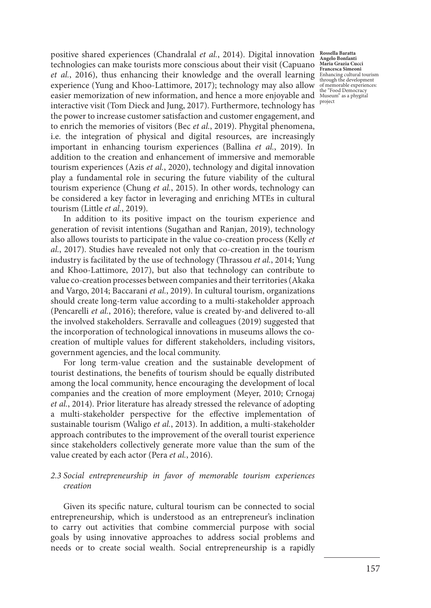positive shared experiences (Chandralal *et al.*, 2014). Digital innovation **Rossella Baratta**  technologies can make tourists more conscious about their visit (Capuano *et al.*, 2016), thus enhancing their knowledge and the overall learning experience (Yung and Khoo-Lattimore, 2017); technology may also allow easier memorization of new information, and hence a more enjoyable and interactive visit (Tom Dieck and Jung, 2017). Furthermore, technology has the power to increase customer satisfaction and customer engagement, and to enrich the memories of visitors (Bec *et al.*, 2019). Phygital phenomena, i.e. the integration of physical and digital resources, are increasingly important in enhancing tourism experiences (Ballina *et al.*, 2019). In addition to the creation and enhancement of immersive and memorable tourism experiences (Azis *et al.*, 2020), technology and digital innovation play a fundamental role in securing the future viability of the cultural tourism experience (Chung *et al.*, 2015). In other words, technology can be considered a key factor in leveraging and enriching MTEs in cultural tourism (Little *et al.*, 2019).

In addition to its positive impact on the tourism experience and generation of revisit intentions (Sugathan and Ranjan, 2019), technology also allows tourists to participate in the value co-creation process (Kelly *et al.*, 2017). Studies have revealed not only that co-creation in the tourism industry is facilitated by the use of technology (Thrassou *et al.*, 2014; Yung and Khoo-Lattimore, 2017), but also that technology can contribute to value co-creation processes between companies and their territories (Akaka and Vargo, 2014; Baccarani *et al.*, 2019). In cultural tourism, organizations should create long-term value according to a multi-stakeholder approach (Pencarelli *et al.*, 2016); therefore, value is created by-and delivered to-all the involved stakeholders. Serravalle and colleagues (2019) suggested that the incorporation of technological innovations in museums allows the cocreation of multiple values for different stakeholders, including visitors, government agencies, and the local community.

For long term-value creation and the sustainable development of tourist destinations, the benefits of tourism should be equally distributed among the local community, hence encouraging the development of local companies and the creation of more employment (Meyer, 2010; Crnogaj *et al.*, 2014). Prior literature has already stressed the relevance of adopting a multi-stakeholder perspective for the effective implementation of sustainable tourism (Waligo *et al.*, 2013). In addition, a multi-stakeholder approach contributes to the improvement of the overall tourist experience since stakeholders collectively generate more value than the sum of the value created by each actor (Pera *et al.*, 2016).

### *2.3 Social entrepreneurship in favor of memorable tourism experiences creation*

Given its specific nature, cultural tourism can be connected to social entrepreneurship, which is understood as an entrepreneur's inclination to carry out activities that combine commercial purpose with social goals by using innovative approaches to address social problems and needs or to create social wealth. Social entrepreneurship is a rapidly

**Angelo Bonfanti Maria Grazia Cucci Francesca Simeoni** Enhancing cultural tourism through the development of memorable experiences: the "Food Democracy Museum" as a phygital project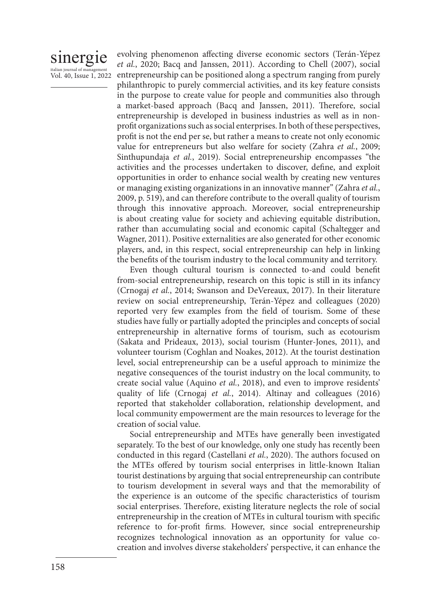## sinergie italian journal of manage Vol. 40, Issue 1, 2022

evolving phenomenon affecting diverse economic sectors (Terán-Yépez *et al.*, 2020; Bacq and Janssen, 2011). According to Chell (2007), social entrepreneurship can be positioned along a spectrum ranging from purely philanthropic to purely commercial activities, and its key feature consists in the purpose to create value for people and communities also through a market-based approach (Bacq and Janssen, 2011). Therefore, social entrepreneurship is developed in business industries as well as in nonprofit organizations such as social enterprises. In both of these perspectives, profit is not the end per se, but rather a means to create not only economic value for entrepreneurs but also welfare for society (Zahra *et al.*, 2009; Sinthupundaja *et al.*, 2019). Social entrepreneurship encompasses "the activities and the processes undertaken to discover, define, and exploit opportunities in order to enhance social wealth by creating new ventures or managing existing organizations in an innovative manner" (Zahra *et al.*, 2009, p. 519), and can therefore contribute to the overall quality of tourism through this innovative approach. Moreover, social entrepreneurship is about creating value for society and achieving equitable distribution, rather than accumulating social and economic capital (Schaltegger and Wagner, 2011). Positive externalities are also generated for other economic players, and, in this respect, social entrepreneurship can help in linking the benefits of the tourism industry to the local community and territory.

Even though cultural tourism is connected to-and could benefit from-social entrepreneurship, research on this topic is still in its infancy (Crnogaj *et al.*, 2014; Swanson and DeVereaux, 2017). In their literature review on social entrepreneurship, Terán-Yépez and colleagues (2020) reported very few examples from the field of tourism. Some of these studies have fully or partially adopted the principles and concepts of social entrepreneurship in alternative forms of tourism, such as ecotourism (Sakata and Prideaux, 2013), social tourism (Hunter-Jones, 2011), and volunteer tourism (Coghlan and Noakes, 2012). At the tourist destination level, social entrepreneurship can be a useful approach to minimize the negative consequences of the tourist industry on the local community, to create social value (Aquino *et al.*, 2018), and even to improve residents' quality of life (Crnogaj *et al.*, 2014). Altinay and colleagues (2016) reported that stakeholder collaboration, relationship development, and local community empowerment are the main resources to leverage for the creation of social value.

Social entrepreneurship and MTEs have generally been investigated separately. To the best of our knowledge, only one study has recently been conducted in this regard (Castellani *et al.*, 2020). The authors focused on the MTEs offered by tourism social enterprises in little-known Italian tourist destinations by arguing that social entrepreneurship can contribute to tourism development in several ways and that the memorability of the experience is an outcome of the specific characteristics of tourism social enterprises. Therefore, existing literature neglects the role of social entrepreneurship in the creation of MTEs in cultural tourism with specific reference to for-profit firms. However, since social entrepreneurship recognizes technological innovation as an opportunity for value cocreation and involves diverse stakeholders' perspective, it can enhance the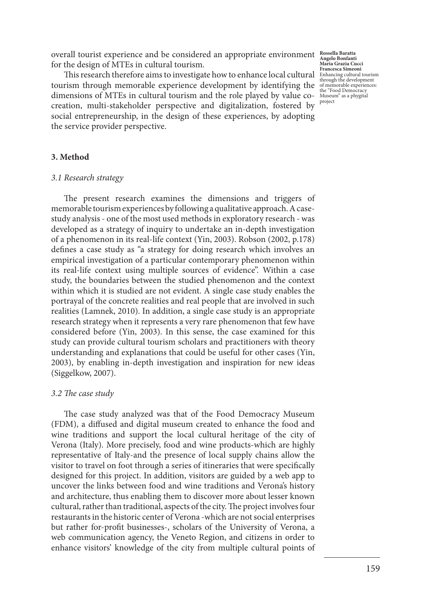overall tourist experience and be considered an appropriate environment **Rossella Baratta**  for the design of MTEs in cultural tourism.

**This research therefore aims to investigate how to enhance local cultural Enhancies Simeoni**<br>
This research therefore aims to investigate how to enhance local cultural tourism cultural tourism cultural tourism through the tourism through memorable experience development by identifying the dimensions of MTEs in cultural tourism and the role played by value cocreation, multi-stakeholder perspective and digitalization, fostered by social entrepreneurship, in the design of these experiences, by adopting the service provider perspective.

**Angelo Bonfanti Maria Grazia Cucci**  of memorable experiences: the "Food Democracy Museum" as a phygital project

#### **3. Method**

#### *3.1 Research strategy*

The present research examines the dimensions and triggers of memorable tourism experiences by following a qualitative approach. A casestudy analysis - one of the most used methods in exploratory research - was developed as a strategy of inquiry to undertake an in-depth investigation of a phenomenon in its real-life context (Yin, 2003). Robson (2002, p.178) defines a case study as "a strategy for doing research which involves an empirical investigation of a particular contemporary phenomenon within its real-life context using multiple sources of evidence". Within a case study, the boundaries between the studied phenomenon and the context within which it is studied are not evident. A single case study enables the portrayal of the concrete realities and real people that are involved in such realities (Lamnek, 2010). In addition, a single case study is an appropriate research strategy when it represents a very rare phenomenon that few have considered before (Yin, 2003). In this sense, the case examined for this study can provide cultural tourism scholars and practitioners with theory understanding and explanations that could be useful for other cases (Yin, 2003), by enabling in-depth investigation and inspiration for new ideas (Siggelkow, 2007).

#### *3.2 The case study*

The case study analyzed was that of the Food Democracy Museum (FDM), a diffused and digital museum created to enhance the food and wine traditions and support the local cultural heritage of the city of Verona (Italy). More precisely, food and wine products-which are highly representative of Italy-and the presence of local supply chains allow the visitor to travel on foot through a series of itineraries that were specifically designed for this project. In addition, visitors are guided by a web app to uncover the links between food and wine traditions and Verona's history and architecture, thus enabling them to discover more about lesser known cultural, rather than traditional, aspects of the city. The project involves four restaurants in the historic center of Verona -which are not social enterprises but rather for-profit businesses-, scholars of the University of Verona, a web communication agency, the Veneto Region, and citizens in order to enhance visitors' knowledge of the city from multiple cultural points of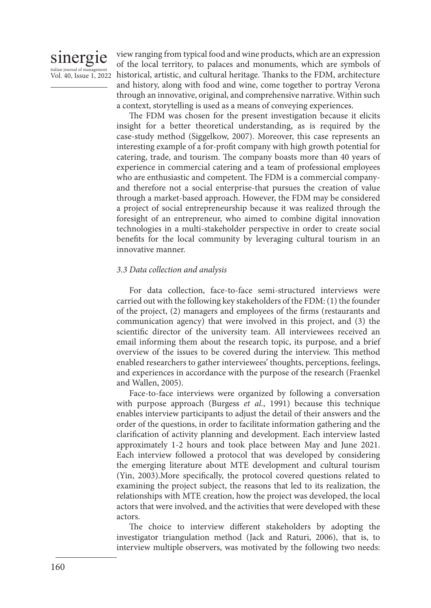

view ranging from typical food and wine products, which are an expression of the local territory, to palaces and monuments, which are symbols of historical, artistic, and cultural heritage. Thanks to the FDM, architecture and history, along with food and wine, come together to portray Verona through an innovative, original, and comprehensive narrative. Within such a context, storytelling is used as a means of conveying experiences.

The FDM was chosen for the present investigation because it elicits insight for a better theoretical understanding, as is required by the case-study method (Siggelkow, 2007). Moreover, this case represents an interesting example of a for-profit company with high growth potential for catering, trade, and tourism. The company boasts more than 40 years of experience in commercial catering and a team of professional employees who are enthusiastic and competent. The FDM is a commercial companyand therefore not a social enterprise-that pursues the creation of value through a market-based approach. However, the FDM may be considered a project of social entrepreneurship because it was realized through the foresight of an entrepreneur, who aimed to combine digital innovation technologies in a multi-stakeholder perspective in order to create social benefits for the local community by leveraging cultural tourism in an innovative manner.

#### *3.3 Data collection and analysis*

For data collection, face-to-face semi-structured interviews were carried out with the following key stakeholders of the FDM: (1) the founder of the project, (2) managers and employees of the firms (restaurants and communication agency) that were involved in this project, and (3) the scientific director of the university team. All interviewees received an email informing them about the research topic, its purpose, and a brief overview of the issues to be covered during the interview. This method enabled researchers to gather interviewees' thoughts, perceptions, feelings, and experiences in accordance with the purpose of the research (Fraenkel and Wallen, 2005).

Face-to-face interviews were organized by following a conversation with purpose approach (Burgess *et al.*, 1991) because this technique enables interview participants to adjust the detail of their answers and the order of the questions, in order to facilitate information gathering and the clarification of activity planning and development. Each interview lasted approximately 1-2 hours and took place between May and June 2021. Each interview followed a protocol that was developed by considering the emerging literature about MTE development and cultural tourism (Yin, 2003).More specifically, the protocol covered questions related to examining the project subject, the reasons that led to its realization, the relationships with MTE creation, how the project was developed, the local actors that were involved, and the activities that were developed with these actors.

The choice to interview different stakeholders by adopting the investigator triangulation method (Jack and Raturi, 2006), that is, to interview multiple observers, was motivated by the following two needs: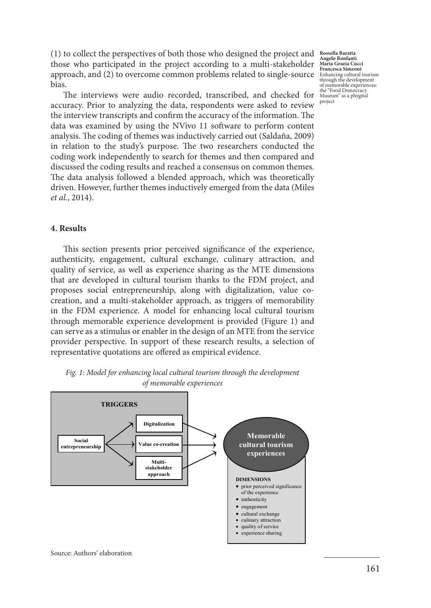(1) to collect the perspectives of both those who designed the project and those who participated in the project according to a multi-stakeholder approach, and (2) to overcome common problems related to single-source  $\frac{E_{\text{hbaranding}}}{\text{thrank of the dalamest}}$ bias.

The interviews were audio recorded, transcribed, and checked for accuracy. Prior to analyzing the data, respondents were asked to review the interview transcripts and confirm the accuracy of the information. The data was examined by using the NVivo 11 software to perform content analysis. The coding of themes was inductively carried out (Saldaña, 2009) in relation to the study's purpose. The two researchers conducted the coding work independently to search for themes and then compared and discussed the coding results and reached a consensus on common themes. The data analysis followed a blended approach, which was theoretically driven. However, further themes inductively emerged from the data (Miles *et al.*, 2014).

#### **4. Results**

This section presents prior perceived significance of the experience, authenticity, engagement, cultural exchange, culinary attraction, and quality of service, as well as experience sharing as the MTE dimensions that are developed in cultural tourism thanks to the FDM project, and proposes social entrepreneurship, along with digitalization, value cocreation, and a multi-stakeholder approach, as triggers of memorability in the FDM experience. A model for enhancing local cultural tourism through memorable experience development is provided (Figure 1) and can serve as a stimulus or enabler in the design of an MTE from the service provider perspective. In support of these research results, a selection of representative quotations are offered as empirical evidence.



*Fig. 1: Model for enhancing local cultural tourism through the development of memorable experiences* 

**Rossella Baratta Angelo Bonfanti Maria Grazia Cucci Francesca Simeoni** through the development of memorable experiences: the "Food Democracy Museum" as a phygital project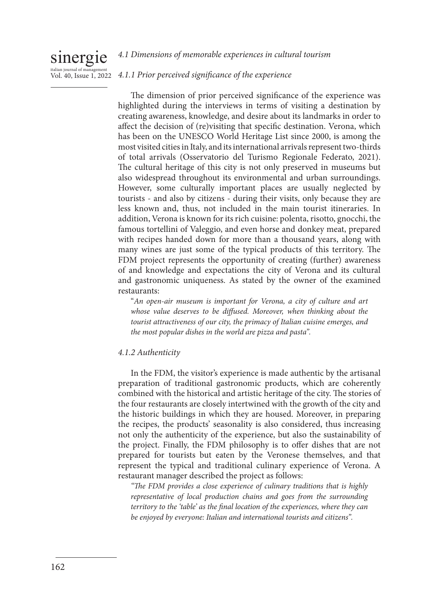#### sinergie italian journal of ma Vol. 40, Issue 1, 2022 *4.1 Dimensions of memorable experiences in cultural tourism 4.1.1 Prior perceived significance of the experience*

The dimension of prior perceived significance of the experience was highlighted during the interviews in terms of visiting a destination by creating awareness, knowledge, and desire about its landmarks in order to affect the decision of (re)visiting that specific destination. Verona, which has been on the UNESCO World Heritage List since 2000, is among the most visited cities in Italy, and its international arrivals represent two-thirds of total arrivals (Osservatorio del Turismo Regionale Federato, 2021). The cultural heritage of this city is not only preserved in museums but also widespread throughout its environmental and urban surroundings. However, some culturally important places are usually neglected by tourists - and also by citizens - during their visits, only because they are less known and, thus, not included in the main tourist itineraries. In addition, Verona is known for its rich cuisine: polenta, risotto, gnocchi, the famous tortellini of Valeggio, and even horse and donkey meat, prepared with recipes handed down for more than a thousand years, along with many wines are just some of the typical products of this territory. The FDM project represents the opportunity of creating (further) awareness of and knowledge and expectations the city of Verona and its cultural and gastronomic uniqueness. As stated by the owner of the examined restaurants:

"*An open-air museum is important for Verona, a city of culture and art whose value deserves to be diffused. Moreover, when thinking about the tourist attractiveness of our city, the primacy of Italian cuisine emerges, and the most popular dishes in the world are pizza and pasta".* 

## *4.1.2 Authenticity*

In the FDM, the visitor's experience is made authentic by the artisanal preparation of traditional gastronomic products, which are coherently combined with the historical and artistic heritage of the city. The stories of the four restaurants are closely intertwined with the growth of the city and the historic buildings in which they are housed. Moreover, in preparing the recipes, the products' seasonality is also considered, thus increasing not only the authenticity of the experience, but also the sustainability of the project. Finally, the FDM philosophy is to offer dishes that are not prepared for tourists but eaten by the Veronese themselves, and that represent the typical and traditional culinary experience of Verona. A restaurant manager described the project as follows:

*"The FDM provides a close experience of culinary traditions that is highly representative of local production chains and goes from the surrounding territory to the 'table' as the final location of the experiences, where they can be enjoyed by everyone: Italian and international tourists and citizens".*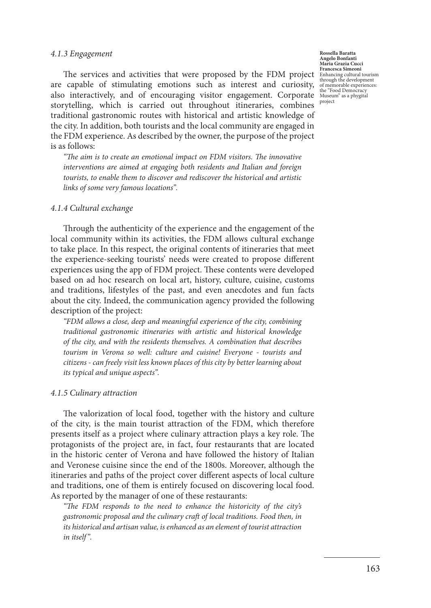#### *4.1.3 Engagement*

The services and activities that were proposed by the FDM project are capable of stimulating emotions such as interest and curiosity, also interactively, and of encouraging visitor engagement. Corporate storytelling, which is carried out throughout itineraries, combines traditional gastronomic routes with historical and artistic knowledge of the city. In addition, both tourists and the local community are engaged in the FDM experience. As described by the owner, the purpose of the project is as follows:

*"The aim is to create an emotional impact on FDM visitors. The innovative interventions are aimed at engaging both residents and Italian and foreign tourists, to enable them to discover and rediscover the historical and artistic links of some very famous locations".* 

#### *4.1.4 Cultural exchange*

Through the authenticity of the experience and the engagement of the local community within its activities, the FDM allows cultural exchange to take place. In this respect, the original contents of itineraries that meet the experience-seeking tourists' needs were created to propose different experiences using the app of FDM project. These contents were developed based on ad hoc research on local art, history, culture, cuisine, customs and traditions, lifestyles of the past, and even anecdotes and fun facts about the city. Indeed, the communication agency provided the following description of the project:

*"FDM allows a close, deep and meaningful experience of the city, combining traditional gastronomic itineraries with artistic and historical knowledge of the city, and with the residents themselves. A combination that describes tourism in Verona so well: culture and cuisine! Everyone - tourists and citizens - can freely visit less known places of this city by better learning about its typical and unique aspects".* 

#### *4.1.5 Culinary attraction*

The valorization of local food, together with the history and culture of the city, is the main tourist attraction of the FDM, which therefore presents itself as a project where culinary attraction plays a key role. The protagonists of the project are, in fact, four restaurants that are located in the historic center of Verona and have followed the history of Italian and Veronese cuisine since the end of the 1800s. Moreover, although the itineraries and paths of the project cover different aspects of local culture and traditions, one of them is entirely focused on discovering local food. As reported by the manager of one of these restaurants:

*"The FDM responds to the need to enhance the historicity of the city's gastronomic proposal and the culinary craft of local traditions. Food then, in its historical and artisan value, is enhanced as an element of tourist attraction in itself".*

**Rossella Baratta Angelo Bonfanti Maria Grazia Cucci Francesca Simeoni** Enhancing cultural tourism through the development of memorable experiences: the "Food Democracy Museum" as a phygital project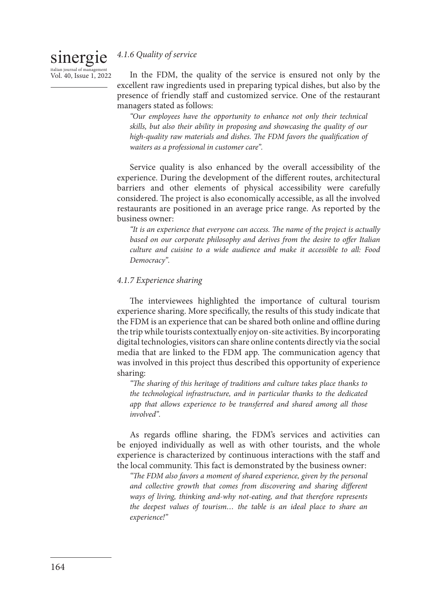## *4.1.6 Quality of service*

sinergie italian journal of ma Vol. 40, Issue 1, 2022

In the FDM, the quality of the service is ensured not only by the excellent raw ingredients used in preparing typical dishes, but also by the presence of friendly staff and customized service. One of the restaurant managers stated as follows:

*"Our employees have the opportunity to enhance not only their technical skills, but also their ability in proposing and showcasing the quality of our high-quality raw materials and dishes. The FDM favors the qualification of waiters as a professional in customer care".*

Service quality is also enhanced by the overall accessibility of the experience. During the development of the different routes, architectural barriers and other elements of physical accessibility were carefully considered. The project is also economically accessible, as all the involved restaurants are positioned in an average price range. As reported by the business owner:

*"It is an experience that everyone can access. The name of the project is actually based on our corporate philosophy and derives from the desire to offer Italian culture and cuisine to a wide audience and make it accessible to all: Food Democracy".*

### *4.1.7 Experience sharing*

The interviewees highlighted the importance of cultural tourism experience sharing. More specifically, the results of this study indicate that the FDM is an experience that can be shared both online and offline during the trip while tourists contextually enjoy on-site activities. By incorporating digital technologies, visitors can share online contents directly via the social media that are linked to the FDM app. The communication agency that was involved in this project thus described this opportunity of experience sharing:

*"The sharing of this heritage of traditions and culture takes place thanks to the technological infrastructure, and in particular thanks to the dedicated app that allows experience to be transferred and shared among all those involved".* 

As regards offline sharing, the FDM's services and activities can be enjoyed individually as well as with other tourists, and the whole experience is characterized by continuous interactions with the staff and the local community. This fact is demonstrated by the business owner:

*"The FDM also favors a moment of shared experience, given by the personal and collective growth that comes from discovering and sharing different ways of living, thinking and-why not-eating, and that therefore represents the deepest values of tourism… the table is an ideal place to share an experience!"*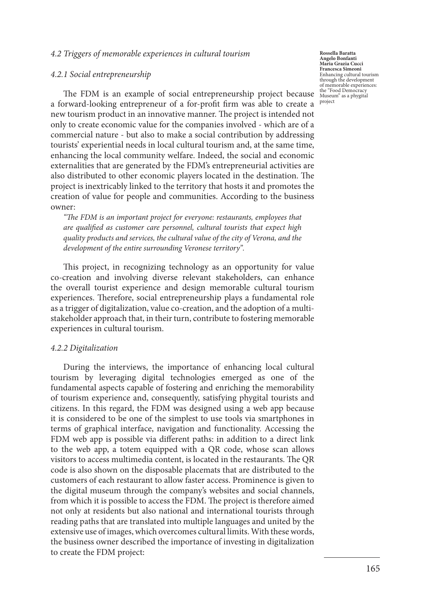#### *4.2 Triggers of memorable experiences in cultural tourism*

#### *4.2.1 Social entrepreneurship*

The FDM is an example of social entrepreneurship project because a forward-looking entrepreneur of a for-profit firm was able to create a new tourism product in an innovative manner. The project is intended not only to create economic value for the companies involved - which are of a commercial nature - but also to make a social contribution by addressing tourists' experiential needs in local cultural tourism and, at the same time, enhancing the local community welfare. Indeed, the social and economic externalities that are generated by the FDM's entrepreneurial activities are also distributed to other economic players located in the destination. The project is inextricably linked to the territory that hosts it and promotes the creation of value for people and communities. According to the business owner:

*"The FDM is an important project for everyone: restaurants, employees that are qualified as customer care personnel, cultural tourists that expect high quality products and services, the cultural value of the city of Verona, and the development of the entire surrounding Veronese territory".* 

This project, in recognizing technology as an opportunity for value co-creation and involving diverse relevant stakeholders, can enhance the overall tourist experience and design memorable cultural tourism experiences. Therefore, social entrepreneurship plays a fundamental role as a trigger of digitalization, value co-creation, and the adoption of a multistakeholder approach that, in their turn, contribute to fostering memorable experiences in cultural tourism.

#### *4.2.2 Digitalization*

During the interviews, the importance of enhancing local cultural tourism by leveraging digital technologies emerged as one of the fundamental aspects capable of fostering and enriching the memorability of tourism experience and, consequently, satisfying phygital tourists and citizens. In this regard, the FDM was designed using a web app because it is considered to be one of the simplest to use tools via smartphones in terms of graphical interface, navigation and functionality. Accessing the FDM web app is possible via different paths: in addition to a direct link to the web app, a totem equipped with a QR code, whose scan allows visitors to access multimedia content, is located in the restaurants. The QR code is also shown on the disposable placemats that are distributed to the customers of each restaurant to allow faster access. Prominence is given to the digital museum through the company's websites and social channels, from which it is possible to access the FDM. The project is therefore aimed not only at residents but also national and international tourists through reading paths that are translated into multiple languages and united by the extensive use of images, which overcomes cultural limits. With these words, the business owner described the importance of investing in digitalization to create the FDM project:

**Rossella Baratta Angelo Bonfanti Maria Grazia Cucci Francesca Simeoni** Enhancing cultural tourism through the development of memorable experiences: the "Food Democracy Museum" as a phygital project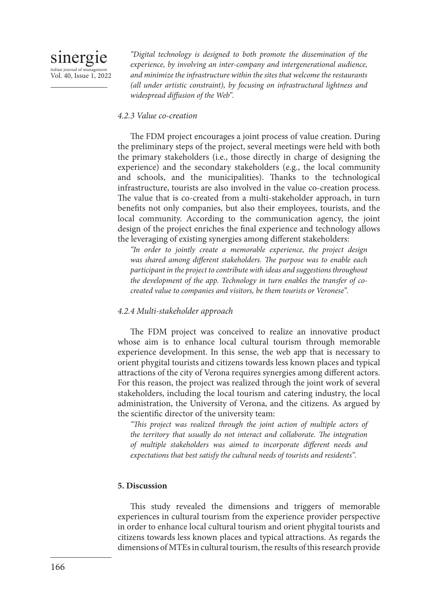*"Digital technology is designed to both promote the dissemination of the experience, by involving an inter-company and intergenerational audience, and minimize the infrastructure within the sites that welcome the restaurants (all under artistic constraint), by focusing on infrastructural lightness and widespread diffusion of the Web".*

#### *4.2.3 Value co-creation*

The FDM project encourages a joint process of value creation. During the preliminary steps of the project, several meetings were held with both the primary stakeholders (i.e., those directly in charge of designing the experience) and the secondary stakeholders (e.g., the local community and schools, and the municipalities). Thanks to the technological infrastructure, tourists are also involved in the value co-creation process. The value that is co-created from a multi-stakeholder approach, in turn benefits not only companies, but also their employees, tourists, and the local community. According to the communication agency, the joint design of the project enriches the final experience and technology allows the leveraging of existing synergies among different stakeholders:

*"In order to jointly create a memorable experience, the project design was shared among different stakeholders. The purpose was to enable each participant in the project to contribute with ideas and suggestions throughout the development of the app. Technology in turn enables the transfer of cocreated value to companies and visitors, be them tourists or Veronese".* 

## *4.2.4 Multi-stakeholder approach*

The FDM project was conceived to realize an innovative product whose aim is to enhance local cultural tourism through memorable experience development. In this sense, the web app that is necessary to orient phygital tourists and citizens towards less known places and typical attractions of the city of Verona requires synergies among different actors. For this reason, the project was realized through the joint work of several stakeholders, including the local tourism and catering industry, the local administration, the University of Verona, and the citizens. As argued by the scientific director of the university team:

*"This project was realized through the joint action of multiple actors of the territory that usually do not interact and collaborate. The integration of multiple stakeholders was aimed to incorporate different needs and expectations that best satisfy the cultural needs of tourists and residents".*

## **5. Discussion**

This study revealed the dimensions and triggers of memorable experiences in cultural tourism from the experience provider perspective in order to enhance local cultural tourism and orient phygital tourists and citizens towards less known places and typical attractions. As regards the dimensions of MTEs in cultural tourism, the results of this research provide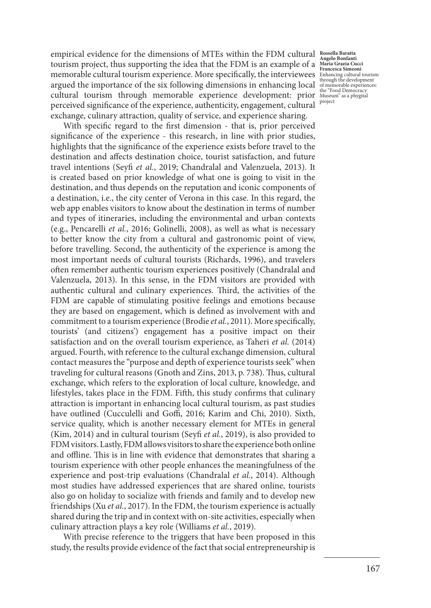empirical evidence for the dimensions of MTEs within the FDM cultural **Rossella Baratta**  tourism project, thus supporting the idea that the FDM is an example of a **Angelo Bonfanti Maria Grazia Cucci Francesca Simeoni** memorable cultural tourism experience. More specifically, the interviewees Enhancing cultural tourism<br>https://www.https://www.https://www.https://www.https://www.https://www.https://www.https://www.https://www.https://www. argued the importance of the six following dimensions in enhancing local cultural tourism through memorable experience development: prior the "Food Democracy Museum" as a phygital perceived significance of the experience, authenticity, engagement, cultural exchange, culinary attraction, quality of service, and experience sharing.

With specific regard to the first dimension - that is, prior perceived significance of the experience - this research, in line with prior studies, highlights that the significance of the experience exists before travel to the destination and affects destination choice, tourist satisfaction, and future travel intentions (Seyfi *et al.*, 2019; Chandralal and Valenzuela, 2013). It is created based on prior knowledge of what one is going to visit in the destination, and thus depends on the reputation and iconic components of a destination, i.e., the city center of Verona in this case. In this regard, the web app enables visitors to know about the destination in terms of number and types of itineraries, including the environmental and urban contexts (e.g., Pencarelli *et al.*, 2016; Golinelli, 2008), as well as what is necessary to better know the city from a cultural and gastronomic point of view, before travelling. Second, the authenticity of the experience is among the most important needs of cultural tourists (Richards, 1996), and travelers often remember authentic tourism experiences positively (Chandralal and Valenzuela, 2013). In this sense, in the FDM visitors are provided with authentic cultural and culinary experiences. Third, the activities of the FDM are capable of stimulating positive feelings and emotions because they are based on engagement, which is defined as involvement with and commitment to a tourism experience (Brodie *et al.*, 2011). More specifically, tourists' (and citizens') engagement has a positive impact on their satisfaction and on the overall tourism experience, as Taheri *et al.* (2014) argued. Fourth, with reference to the cultural exchange dimension, cultural contact measures the "purpose and depth of experience tourists seek" when traveling for cultural reasons (Gnoth and Zins, 2013, p. 738). Thus, cultural exchange, which refers to the exploration of local culture, knowledge, and lifestyles, takes place in the FDM. Fifth, this study confirms that culinary attraction is important in enhancing local cultural tourism, as past studies have outlined (Cucculelli and Goffi, 2016; Karim and Chi, 2010). Sixth, service quality, which is another necessary element for MTEs in general (Kim, 2014) and in cultural tourism (Seyfi *et al.*, 2019), is also provided to FDM visitors. Lastly, FDM allows visitors to share the experience both online and offline. This is in line with evidence that demonstrates that sharing a tourism experience with other people enhances the meaningfulness of the experience and post-trip evaluations (Chandralal *et al.*, 2014). Although most studies have addressed experiences that are shared online, tourists also go on holiday to socialize with friends and family and to develop new friendships (Xu *et al.*, 2017). In the FDM, the tourism experience is actually shared during the trip and in context with on-site activities, especially when culinary attraction plays a key role (Williams *et al.*, 2019).

With precise reference to the triggers that have been proposed in this study, the results provide evidence of the fact that social entrepreneurship is

of memorable experiences: project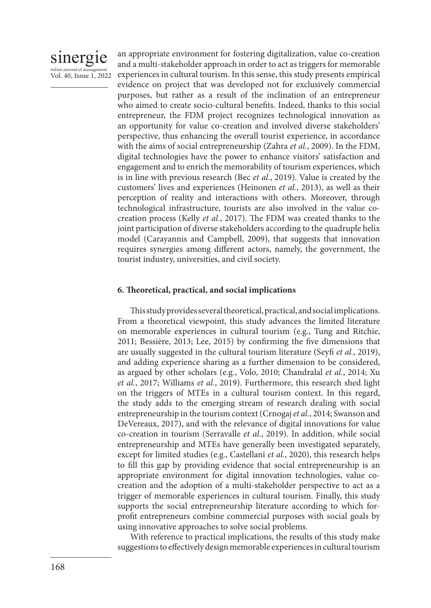

an appropriate environment for fostering digitalization, value co-creation and a multi-stakeholder approach in order to act as triggers for memorable experiences in cultural tourism. In this sense, this study presents empirical evidence on project that was developed not for exclusively commercial purposes, but rather as a result of the inclination of an entrepreneur who aimed to create socio-cultural benefits. Indeed, thanks to this social entrepreneur, the FDM project recognizes technological innovation as an opportunity for value co-creation and involved diverse stakeholders' perspective, thus enhancing the overall tourist experience, in accordance with the aims of social entrepreneurship (Zahra *et al.*, 2009). In the FDM, digital technologies have the power to enhance visitors' satisfaction and engagement and to enrich the memorability of tourism experiences, which is in line with previous research (Bec *et al.*, 2019). Value is created by the customers' lives and experiences (Heinonen *et al.*, 2013), as well as their perception of reality and interactions with others. Moreover, through technological infrastructure, tourists are also involved in the value cocreation process (Kelly *et al.*, 2017). The FDM was created thanks to the joint participation of diverse stakeholders according to the quadruple helix model (Carayannis and Campbell, 2009), that suggests that innovation requires synergies among different actors, namely, the government, the tourist industry, universities, and civil society.

#### **6. Theoretical, practical, and social implications**

This study provides several theoretical, practical, and social implications. From a theoretical viewpoint, this study advances the limited literature on memorable experiences in cultural tourism (e.g., Tung and Ritchie, 2011; Bessière, 2013; Lee, 2015) by confirming the five dimensions that are usually suggested in the cultural tourism literature (Seyfi *et al.*, 2019), and adding experience sharing as a further dimension to be considered, as argued by other scholars (e.g., Volo, 2010; Chandralal *et al.*, 2014; Xu *et al.*, 2017; Williams *et al.*, 2019). Furthermore, this research shed light on the triggers of MTEs in a cultural tourism context. In this regard, the study adds to the emerging stream of research dealing with social entrepreneurship in the tourism context (Crnogaj *et al.*, 2014; Swanson and DeVereaux, 2017), and with the relevance of digital innovations for value co-creation in tourism (Serravalle *et al.*, 2019). In addition, while social entrepreneurship and MTEs have generally been investigated separately, except for limited studies (e.g., Castellani *et al.*, 2020), this research helps to fill this gap by providing evidence that social entrepreneurship is an appropriate environment for digital innovation technologies, value cocreation and the adoption of a multi-stakeholder perspective to act as a trigger of memorable experiences in cultural tourism. Finally, this study supports the social entrepreneurship literature according to which forprofit entrepreneurs combine commercial purposes with social goals by using innovative approaches to solve social problems.

With reference to practical implications, the results of this study make suggestions to effectively design memorable experiences in cultural tourism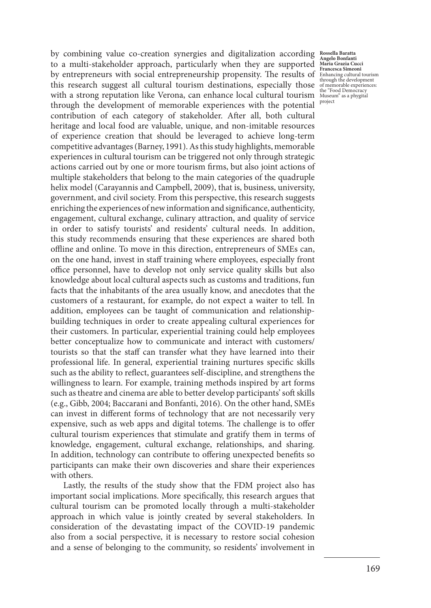by combining value co-creation synergies and digitalization according **Rossella Baratta**  to a multi-stakeholder approach, particularly when they are supported by entrepreneurs with social entrepreneurship propensity. The results of Enhancing cultural tourism this research suggest all cultural tourism destinations, especially those with a strong reputation like Verona, can enhance local cultural tourism Museum" as a phygital through the development of memorable experiences with the potential contribution of each category of stakeholder. After all, both cultural heritage and local food are valuable, unique, and non-imitable resources of experience creation that should be leveraged to achieve long-term competitive advantages (Barney, 1991). As this study highlights, memorable experiences in cultural tourism can be triggered not only through strategic actions carried out by one or more tourism firms, but also joint actions of multiple stakeholders that belong to the main categories of the quadruple helix model (Carayannis and Campbell, 2009), that is, business, university, government, and civil society. From this perspective, this research suggests enriching the experiences of new information and significance, authenticity, engagement, cultural exchange, culinary attraction, and quality of service in order to satisfy tourists' and residents' cultural needs. In addition, this study recommends ensuring that these experiences are shared both offline and online. To move in this direction, entrepreneurs of SMEs can, on the one hand, invest in staff training where employees, especially front office personnel, have to develop not only service quality skills but also knowledge about local cultural aspects such as customs and traditions, fun facts that the inhabitants of the area usually know, and anecdotes that the customers of a restaurant, for example, do not expect a waiter to tell. In addition, employees can be taught of communication and relationshipbuilding techniques in order to create appealing cultural experiences for their customers. In particular, experiential training could help employees better conceptualize how to communicate and interact with customers/ tourists so that the staff can transfer what they have learned into their professional life. In general, experiential training nurtures specific skills such as the ability to reflect, guarantees self-discipline, and strengthens the willingness to learn. For example, training methods inspired by art forms such as theatre and cinema are able to better develop participants' soft skills (e.g., Gibb, 2004; Baccarani and Bonfanti, 2016). On the other hand, SMEs can invest in different forms of technology that are not necessarily very expensive, such as web apps and digital totems. The challenge is to offer cultural tourism experiences that stimulate and gratify them in terms of knowledge, engagement, cultural exchange, relationships, and sharing. In addition, technology can contribute to offering unexpected benefits so participants can make their own discoveries and share their experiences with others.

Lastly, the results of the study show that the FDM project also has important social implications. More specifically, this research argues that cultural tourism can be promoted locally through a multi-stakeholder approach in which value is jointly created by several stakeholders. In consideration of the devastating impact of the COVID-19 pandemic also from a social perspective, it is necessary to restore social cohesion and a sense of belonging to the community, so residents' involvement in

**Angelo Bonfanti Maria Grazia Cucci**  of memorable experiences: project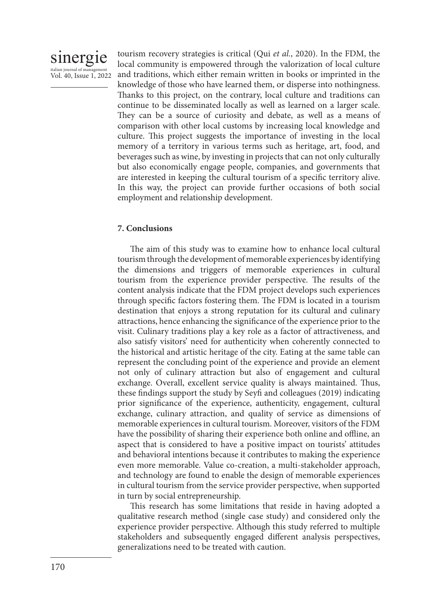

tourism recovery strategies is critical (Qui *et al.*, 2020). In the FDM, the local community is empowered through the valorization of local culture and traditions, which either remain written in books or imprinted in the knowledge of those who have learned them, or disperse into nothingness. Thanks to this project, on the contrary, local culture and traditions can continue to be disseminated locally as well as learned on a larger scale. They can be a source of curiosity and debate, as well as a means of comparison with other local customs by increasing local knowledge and culture. This project suggests the importance of investing in the local memory of a territory in various terms such as heritage, art, food, and beverages such as wine, by investing in projects that can not only culturally but also economically engage people, companies, and governments that are interested in keeping the cultural tourism of a specific territory alive. In this way, the project can provide further occasions of both social employment and relationship development.

## **7. Conclusions**

The aim of this study was to examine how to enhance local cultural tourism through the development of memorable experiences by identifying the dimensions and triggers of memorable experiences in cultural tourism from the experience provider perspective. The results of the content analysis indicate that the FDM project develops such experiences through specific factors fostering them. The FDM is located in a tourism destination that enjoys a strong reputation for its cultural and culinary attractions, hence enhancing the significance of the experience prior to the visit. Culinary traditions play a key role as a factor of attractiveness, and also satisfy visitors' need for authenticity when coherently connected to the historical and artistic heritage of the city. Eating at the same table can represent the concluding point of the experience and provide an element not only of culinary attraction but also of engagement and cultural exchange. Overall, excellent service quality is always maintained. Thus, these findings support the study by Seyfi and colleagues (2019) indicating prior significance of the experience, authenticity, engagement, cultural exchange, culinary attraction, and quality of service as dimensions of memorable experiences in cultural tourism. Moreover, visitors of the FDM have the possibility of sharing their experience both online and offline, an aspect that is considered to have a positive impact on tourists' attitudes and behavioral intentions because it contributes to making the experience even more memorable. Value co-creation, a multi-stakeholder approach, and technology are found to enable the design of memorable experiences in cultural tourism from the service provider perspective, when supported in turn by social entrepreneurship.

This research has some limitations that reside in having adopted a qualitative research method (single case study) and considered only the experience provider perspective. Although this study referred to multiple stakeholders and subsequently engaged different analysis perspectives, generalizations need to be treated with caution.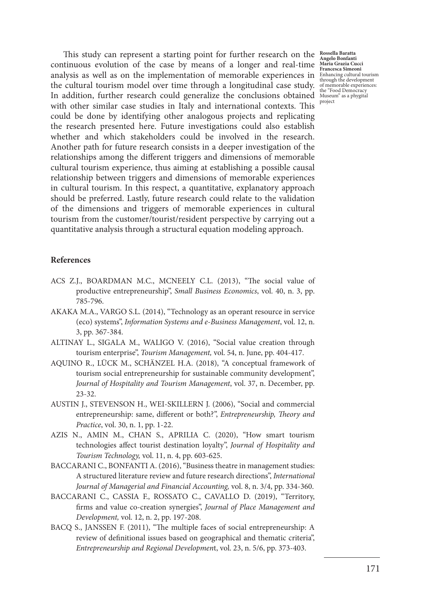This study can represent a starting point for further research on the **Rossella Baratta**  continuous evolution of the case by means of a longer and real-time **Angelo Bonfanti Maria Grazia Cucci Francesca Simeoni** analysis as well as on the implementation of memorable experiences in Enhancing cultural tourism through the development the cultural tourism model over time through a longitudinal case study. In addition, further research could generalize the conclusions obtained with other similar case studies in Italy and international contexts. This could be done by identifying other analogous projects and replicating the research presented here. Future investigations could also establish whether and which stakeholders could be involved in the research. Another path for future research consists in a deeper investigation of the relationships among the different triggers and dimensions of memorable cultural tourism experience, thus aiming at establishing a possible causal relationship between triggers and dimensions of memorable experiences in cultural tourism. In this respect, a quantitative, explanatory approach should be preferred. Lastly, future research could relate to the validation of the dimensions and triggers of memorable experiences in cultural tourism from the customer/tourist/resident perspective by carrying out a quantitative analysis through a structural equation modeling approach.

### **References**

- ACS Z.J., BOARDMAN M.C., MCNEELY C.L. (2013), "The social value of productive entrepreneurship", *Small Business Economics*, vol. 40, n. 3, pp. 785-796.
- AKAKA M.A., VARGO S.L. (2014), "Technology as an operant resource in service (eco) systems", *Information Systems and e-Business Management*, vol. 12, n. 3, pp. 367-384.
- ALTINAY L., SIGALA M., WALIGO V. (2016), "Social value creation through tourism enterprise", *Tourism Management,* vol. 54, n. June, pp. 404-417.
- AQUINO R., LÜCK M., SCHÄNZEL H.A. (2018), "A conceptual framework of tourism social entrepreneurship for sustainable community development", *Journal of Hospitality and Tourism Management*, vol. 37, n. December, pp. 23-32.
- AUSTIN J., STEVENSON H., WEI-SKILLERN J. (2006), "Social and commercial entrepreneurship: same, different or both?", *Entrepreneurship, Theory and Practice*, vol. 30, n. 1, pp. 1-22.
- AZIS N., AMIN M., CHAN S., APRILIA C. (2020), "How smart tourism technologies affect tourist destination loyalty", *Journal of Hospitality and Tourism Technology,* vol. 11, n. 4, pp. 603-625.
- BACCARANI C., BONFANTI A. (2016), "Business theatre in management studies: A structured literature review and future research directions", *International Journal of Managerial and Financial Accounting,* vol. 8, n. 3/4, pp. 334-360.
- BACCARANI C., CASSIA F., ROSSATO C., CAVALLO D. (2019), "Territory, firms and value co-creation synergies", *Journal of Place Management and Development,* vol. 12, n. 2, pp. 197-208.
- BACQ S., JANSSEN F. (2011), "The multiple faces of social entrepreneurship: A review of definitional issues based on geographical and thematic criteria", *Entrepreneurship and Regional Developmen*t, vol. 23, n. 5/6, pp. 373-403.

of memorable experiences: the "Food Democracy Museum" as a phygital project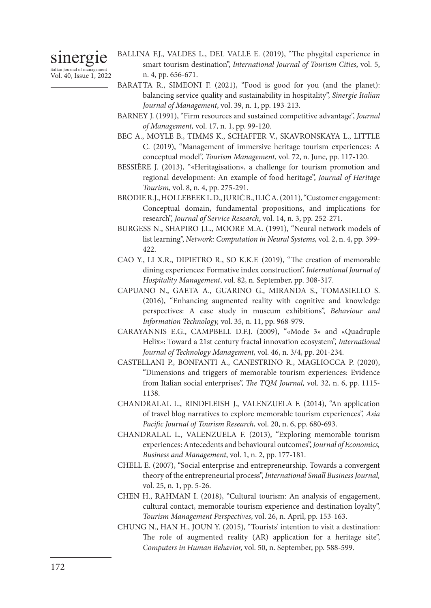# sinergie

italian journal of management Vol. 40, Issue 1, 2022

- BALLINA F.J., VALDES L., DEL VALLE E. (2019), "The phygital experience in smart tourism destination", *International Journal of Tourism Cities*, vol. 5, n. 4, pp. 656-671.
- BARATTA R., SIMEONI F. (2021), "Food is good for you (and the planet): balancing service quality and sustainability in hospitality", *Sinergie Italian Journal of Management*, vol. 39, n. 1, pp. 193-213.
- BARNEY J. (1991), "Firm resources and sustained competitive advantage", *Journal of Management,* vol. 17, n. 1, pp. 99-120.
- BEC A., MOYLE B., TIMMS K., SCHAFFER V., SKAVRONSKAYA L., LITTLE C. (2019), "Management of immersive heritage tourism experiences: A conceptual model", *Tourism Management*, vol. 72, n. June, pp. 117-120.
- BESSIÈRE J. (2013), "«Heritagisation», a challenge for tourism promotion and regional development: An example of food heritage", *Journal of Heritage Tourism*, vol. 8, n. 4, pp. 275-291.
- BRODIE R.J., HOLLEBEEK L.D., JURIĆ B., ILIĆ A. (2011), "Customer engagement: Conceptual domain, fundamental propositions, and implications for research", *Journal of Service Research*, vol. 14, n. 3, pp. 252-271.
- BURGESS N., SHAPIRO J.L., MOORE M.A. (1991), "Neural network models of list learning", *Network: Computation in Neural Systems,* vol. 2, n. 4, pp. 399- 422.
- CAO Y., LI X.R., DIPIETRO R., SO K.K.F. (2019), "The creation of memorable dining experiences: Formative index construction", *International Journal of Hospitality Management*, vol. 82, n. September, pp. 308-317.
- CAPUANO N., GAETA A., GUARINO G., MIRANDA S., TOMASIELLO S. (2016), "Enhancing augmented reality with cognitive and knowledge perspectives: A case study in museum exhibitions", *Behaviour and Information Technology,* vol. 35, n. 11, pp. 968-979.
- CARAYANNIS E.G., CAMPBELL D.F.J. (2009), "«Mode 3» and «Quadruple Helix»: Toward a 21st century fractal innovation ecosystem", *International Journal of Technology Management,* vol. 46, n. 3/4, pp. 201-234.
- CASTELLANI P., BONFANTI A., CANESTRINO R., MAGLIOCCA P. (2020), "Dimensions and triggers of memorable tourism experiences: Evidence from Italian social enterprises", *The TQM Journal,* vol. 32, n. 6, pp. 1115- 1138.
- CHANDRALAL L., RINDFLEISH J., VALENZUELA F. (2014), "An application of travel blog narratives to explore memorable tourism experiences", *Asia Pacific Journal of Tourism Research*, vol. 20, n. 6, pp. 680-693.
- CHANDRALAL L., VALENZUELA F. (2013), "Exploring memorable tourism experiences: Antecedents and behavioural outcomes", *Journal of Economics, Business and Management*, vol. 1, n. 2, pp. 177-181.
- CHELL E. (2007), "Social enterprise and entrepreneurship. Towards a convergent theory of the entrepreneurial process", *International Small Business Journal,* vol. 25, n. 1, pp. 5-26.
- CHEN H., RAHMAN I. (2018), "Cultural tourism: An analysis of engagement, cultural contact, memorable tourism experience and destination loyalty", *Tourism Management Perspectives*, vol. 26, n. April, pp. 153-163.
- CHUNG N., HAN H., JOUN Y. (2015), "Tourists' intention to visit a destination: The role of augmented reality (AR) application for a heritage site", *Computers in Human Behavior,* vol. 50, n. September, pp. 588-599.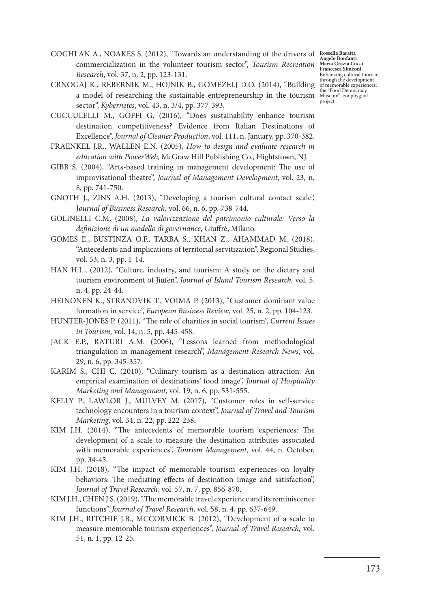COGHLAN A., NOAKES S. (2012), "Towards an understanding of the drivers of **Rossella Baratta**  commercialization in the volunteer tourism sector", *Tourism Recreation Research*, vol. 37, n. 2, pp. 123-131.

CRNOGAJ K., REBERNIK M., HOJNIK B., GOMEZELJ D.O. (2014), "Building a model of researching the sustainable entrepreneurship in the tourism sector", *Kybernetes*, vol. 43, n. 3/4, pp. 377-393.

CUCCULELLI M., GOFFI G. (2016), "Does sustainability enhance tourism destination competitiveness? Evidence from Italian Destinations of Excellence", *Journal of Cleaner Production*, vol. 111, n. January, pp. 370-382.

- FRAENKEL J.R., WALLEN E.N. (2005), *How to design and evaluate research in education with PowerWeb,* McGraw Hill Publishing Co., Hightstown, NJ.
- GIBB S. (2004), "Arts-based training in management development: The use of improvisational theatre", *Journal of Management Development*, vol. 23, n. 8, pp. 741-750.
- GNOTH J., ZINS A.H. (2013), "Developing a tourism cultural contact scale", J*ournal of Business Research,* vol. 66, n. 6, pp. 738-744.
- GOLINELLI C.M. (2008), *La valorizzazione del patrimonio culturale: Verso la definizione di un modello di governance*, Giuffrè, Milano.
- GOMES E., BUSTINZA O.F., TARBA S., KHAN Z., AHAMMAD M. (2018), "Antecedents and implications of territorial servitization", Regional Studies, vol. 53, n. 3, pp. 1-14.
- HAN H.L., (2012), "Culture, industry, and tourism: A study on the dietary and tourism environment of Jiufen", *Journal of Island Tourism Research,* vol. 5, n. 4, pp. 24-44.
- HEINONEN K., STRANDVIK T., VOIMA P. (2013), "Customer dominant value formation in service", *European Business Review*, vol. 25, n. 2, pp. 104-123.
- HUNTER-JONES P. (2011), "The role of charities in social tourism", *Current Issues in Tourism,* vol. 14, n. 5, pp. 445-458.
- JACK E.P., RATURI A.M. (2006), "Lessons learned from methodological triangulation in management research", *Management Research News*, vol. 29, n. 6, pp. 345-357.
- KARIM S., CHI C. (2010), "Culinary tourism as a destination attraction: An empirical examination of destinations' food image", *Journal of Hospitality Marketing and Management,* vol. 19, n. 6, pp. 531-555.
- KELLY P., LAWLOR J., MULVEY M. (2017), "Customer roles in self-service technology encounters in a tourism context", *Journal of Travel and Tourism Marketing*, vol. 34, n. 22, pp. 222-238.
- KIM J.H. (2014), "The antecedents of memorable tourism experiences: The development of a scale to measure the destination attributes associated with memorable experiences", *Tourism Management,* vol. 44, n. October, pp. 34-45.
- KIM J.H. (2018), "The impact of memorable tourism experiences on loyalty behaviors: The mediating effects of destination image and satisfaction", *Journal of Travel Research*, vol. 57, n. 7, pp. 856-870.
- KIM J.H., CHEN J.S. (2019), "The memorable travel experience and its reminiscence functions", *Journal of Travel Research*, vol. 58, n. 4, pp. 637-649.
- KIM J.H., RITCHIE J.B., MCCORMICK B. (2012), "Development of a scale to measure memorable tourism experiences", *Journal of Travel Research,* vol. 51, n. 1, pp. 12-25.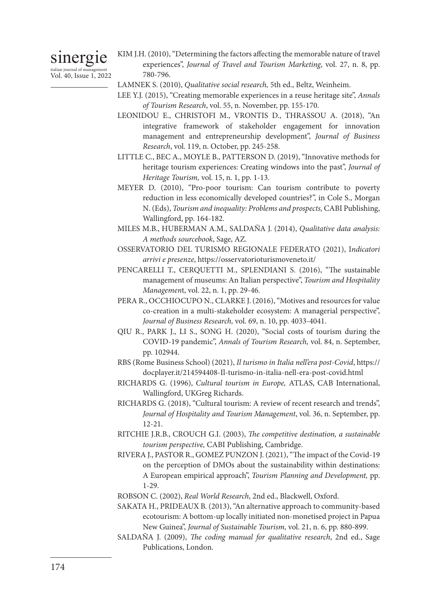## sinergie italian journal of management

Vol. 40, Issue 1, 2022

- KIM J.H. (2010), "Determining the factors affecting the memorable nature of travel experiences", *Journal of Travel and Tourism Marketing*, vol. 27, n. 8, pp. 780-796.
- LAMNEK S. (2010), *Qualitative social research,* 5th ed., Beltz, Weinheim.
- LEE Y.J. (2015), "Creating memorable experiences in a reuse heritage site", *Annals of Tourism Research*, vol. 55, n. November, pp. 155-170.
- LEONIDOU E., CHRISTOFI M., VRONTIS D., THRASSOU A. (2018), "An integrative framework of stakeholder engagement for innovation management and entrepreneurship development", *Journal of Business Research*, vol. 119, n. October, pp. 245-258.
- LITTLE C., BEC A., MOYLE B., PATTERSON D. (2019), "Innovative methods for heritage tourism experiences: Creating windows into the past", *Journal of Heritage Tourism,* vol. 15, n. 1, pp. 1-13.
- MEYER D. (2010), "Pro-poor tourism: Can tourism contribute to poverty reduction in less economically developed countries?", in Cole S., Morgan N. (Eds), *Tourism and inequality: Problems and prospects,* CABI Publishing, Wallingford, pp. 164-182.
- MILES M.B., HUBERMAN A.M., SALDAÑA J. (2014), *Qualitative data analysis: A methods sourcebook*, Sage, AZ.
- OSSERVATORIO DEL TURISMO REGIONALE FEDERATO (2021), I*ndicatori arrivi e presenze*, https://osservatorioturismoveneto.it/
- PENCARELLI T., CERQUETTI M., SPLENDIANI S. (2016), "The sustainable management of museums: An Italian perspective", *Tourism and Hospitality Managemen*t, vol. 22, n. 1, pp. 29-46.
- PERA R., OCCHIOCUPO N., CLARKE J. (2016), "Motives and resources for value co-creation in a multi-stakeholder ecosystem: A managerial perspective", *Journal of Business Research,* vol. 69, n. 10, pp. 4033-4041.
- QIU R., PARK J., LI S., SONG H. (2020), "Social costs of tourism during the COVID-19 pandemic", *Annals of Tourism Research,* vol. 84, n. September, pp. 102944.
- RBS (Rome Business School) (2021), *Il turismo in Italia nell'era post-Covid*, https:// docplayer.it/214594408-Il-turismo-in-italia-nell-era-post-covid.html
- RICHARDS G. (1996), *Cultural tourism in Europe,* ATLAS, CAB International, Wallingford, UKGreg Richards.
- RICHARDS G. (2018), "Cultural tourism: A review of recent research and trends", *Journal of Hospitality and Tourism Management*, vol. 36, n. September, pp. 12-21.
- RITCHIE J.R.B., CROUCH G.I. (2003), *The competitive destination, a sustainable tourism perspective,* CABI Publishing, Cambridge.
- RIVERA J., PASTOR R., GOMEZ PUNZON J. (2021), "The impact of the Covid-19 on the perception of DMOs about the sustainability within destinations: A European empirical approach", *Tourism Planning and Development,* pp. 1-29.
- ROBSON C. (2002), *Real World Research*, 2nd ed., Blackwell, Oxford.
- SAKATA H., PRIDEAUX B. (2013), "An alternative approach to community-based ecotourism: A bottom-up locally initiated non-monetised project in Papua New Guinea", *Journal of Sustainable Tourism,* vol. 21, n. 6, pp. 880-899.
- SALDAÑA J. (2009), *The coding manual for qualitative research*, 2nd ed., Sage Publications, London.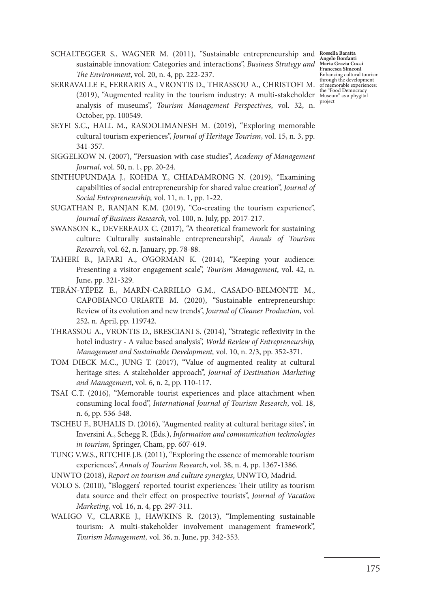SCHALTEGGER S., WAGNER M. (2011), "Sustainable entrepreneurship and **Rossella Baratta Angelo Bonfanti Maria Grazia Cucci Francesca Simeoni** Enhancing cultural tourism through the development of memorable experiences:

- sustainable innovation: Categories and interactions", *Business Strategy and The Environment*, vol. 20, n. 4, pp. 222-237. SERRAVALLE F., FERRARIS A., VRONTIS D., THRASSOU A., CHRISTOFI M.
- (2019), "Augmented reality in the tourism industry: A multi-stakeholder the "Food Democracy Museum" as a phygital analysis of museums", *Tourism Management Perspectives*, vol. 32, n. October, pp. 100549. project
- SEYFI S.C., HALL M., RASOOLIMANESH M. (2019), "Exploring memorable cultural tourism experiences", *Journal of Heritage Tourism*, vol. 15, n. 3, pp. 341-357.
- SIGGELKOW N. (2007), "Persuasion with case studies", *Academy of Management Journal*, vol. 50, n. 1, pp. 20-24.
- SINTHUPUNDAJA J., KOHDA Y., CHIADAMRONG N. (2019), "Examining capabilities of social entrepreneurship for shared value creation", *Journal of Social Entrepreneurship,* vol. 11, n. 1, pp. 1-22.
- SUGATHAN P., RANJAN K.M. (2019), "Co-creating the tourism experience", *Journal of Business Research*, vol. 100, n. July, pp. 2017-217.
- SWANSON K., DEVEREAUX C. (2017), "A theoretical framework for sustaining culture: Culturally sustainable entrepreneurship", *Annals of Tourism Research*, vol. 62, n. January, pp. 78-88.
- TAHERI B., JAFARI A., O'GORMAN K. (2014), "Keeping your audience: Presenting a visitor engagement scale", *Tourism Management*, vol. 42, n. June, pp. 321-329.
- TERÁN-YÉPEZ E., MARÍN-CARRILLO G.M., CASADO-BELMONTE M., CAPOBIANCO-URIARTE M. (2020), "Sustainable entrepreneurship: Review of its evolution and new trends", *Journal of Cleaner Production,* vol. 252, n. April, pp. 119742.
- THRASSOU A., VRONTIS D., BRESCIANI S. (2014), "Strategic reflexivity in the hotel industry - A value based analysis", *World Review of Entrepreneurship, Management and Sustainable Development,* vol. 10, n. 2/3, pp. 352-371.
- TOM DIECK M.C., JUNG T. (2017), "Value of augmented reality at cultural heritage sites: A stakeholder approach", *Journal of Destination Marketing and Managemen*t, vol. 6, n. 2, pp. 110-117.
- TSAI C.T. (2016), "Memorable tourist experiences and place attachment when consuming local food", *International Journal of Tourism Research*, vol. 18, n. 6, pp. 536-548.
- TSCHEU F., BUHALIS D. (2016), "Augmented reality at cultural heritage sites", in Inversini A., Schegg R. (Eds.), *Information and communication technologies in tourism,* Springer, Cham, pp. 607-619.
- TUNG V.W.S., RITCHIE J.B. (2011), "Exploring the essence of memorable tourism experiences", *Annals of Tourism Research*, vol. 38, n. 4, pp. 1367-1386.
- UNWTO (2018), *Report on tourism and culture synergies*, UNWTO, Madrid.
- VOLO S. (2010), "Bloggers' reported tourist experiences: Their utility as tourism data source and their effect on prospective tourists", *Journal of Vacation Marketing*, vol. 16, n. 4, pp. 297-311.
- WALIGO V., CLARKE J., HAWKINS R. (2013), "Implementing sustainable tourism: A multi-stakeholder involvement management framework", *Tourism Management,* vol. 36, n. June, pp. 342-353.